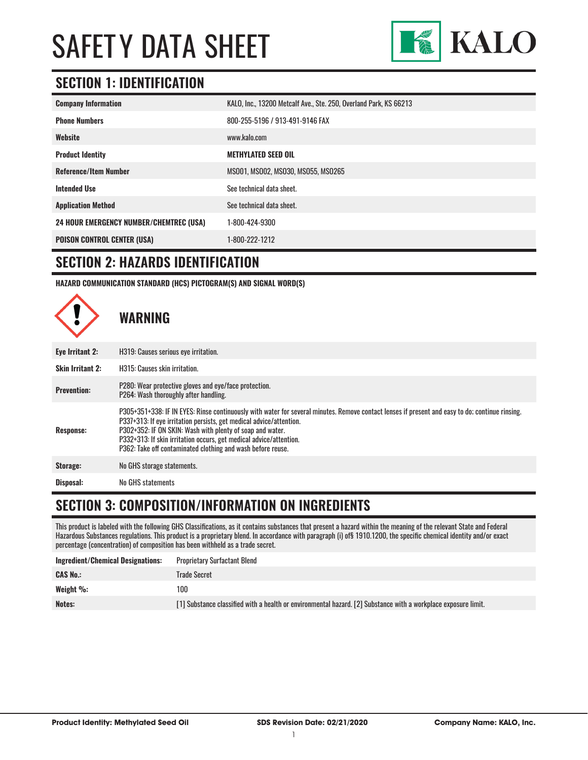

#### **SECTION 1: IDENTIFICATION**

| <b>Company Information</b>                     | KALO, Inc., 13200 Metcalf Ave., Ste. 250, Overland Park, KS 66213 |
|------------------------------------------------|-------------------------------------------------------------------|
| <b>Phone Numbers</b>                           | 800-255-5196 / 913-491-9146 FAX                                   |
| Website                                        | www.kalo.com                                                      |
| <b>Product Identity</b>                        | <b>METHYLATED SEED OIL</b>                                        |
| <b>Reference/Item Number</b>                   | MS001, MS002, MS030, MS055, MS0265                                |
| <b>Intended Use</b>                            | See technical data sheet.                                         |
| <b>Application Method</b>                      | See technical data sheet.                                         |
| <b>24 HOUR EMERGENCY NUMBER/CHEMTREC (USA)</b> | 1-800-424-9300                                                    |
| <b>POISON CONTROL CENTER (USA)</b>             | 1-800-222-1212                                                    |

#### **SECTION 2: HAZARDS IDENTIFICATION**

**HAZARD COMMUNICATION STANDARD (HCS) PICTOGRAM(S) AND SIGNAL WORD(S)**



#### **SECTION 3: COMPOSITION/INFORMATION ON INGREDIENTS**

This product is labeled with the following GHS Classifications, as it contains substances that present a hazard within the meaning of the relevant State and Federal Hazardous Substances regulations. This product is a proprietary blend. In accordance with paragraph (i) of§ 1910.1200, the specific chemical identity and/or exact percentage (concentration) of composition has been withheld as a trade secret.

| Ingredient/Chemical Designations: | <b>Proprietary Surfactant Blend</b>                                                                            |
|-----------------------------------|----------------------------------------------------------------------------------------------------------------|
| <b>CAS No.:</b>                   | Trade Secret                                                                                                   |
| Weight $\%$ :                     | 100                                                                                                            |
| Notes:                            | [1] Substance classified with a health or environmental hazard. [2] Substance with a workplace exposure limit. |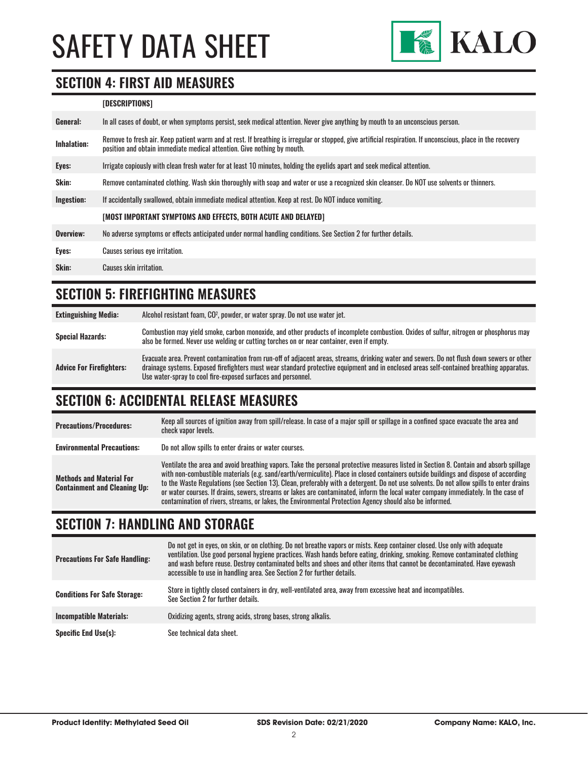

#### **SECTION 4: FIRST AID MEASURES**

#### **[DESCRIPTIONS]**

| General:           | In all cases of doubt, or when symptoms persist, seek medical attention. Never give anything by mouth to an unconscious person.                                                                                                         |
|--------------------|-----------------------------------------------------------------------------------------------------------------------------------------------------------------------------------------------------------------------------------------|
| <b>Inhalation:</b> | Remove to fresh air. Keep patient warm and at rest. If breathing is irregular or stopped, give artificial respiration. If unconscious, place in the recovery<br>position and obtain immediate medical attention. Give nothing by mouth. |
| Eyes:              | Irrigate copiously with clean fresh water for at least 10 minutes, holding the eyelids apart and seek medical attention.                                                                                                                |
| <b>Skin:</b>       | Remove contaminated clothing. Wash skin thoroughly with soap and water or use a recognized skin cleanser. Do NOT use solvents or thinners.                                                                                              |
| Ingestion:         | If accidentally swallowed, obtain immediate medical attention. Keep at rest. Do NOT induce vomiting.                                                                                                                                    |
|                    | [MOST IMPORTANT SYMPTOMS AND EFFECTS, BOTH ACUTE AND DELAYED]                                                                                                                                                                           |
| Overview:          | No adverse symptoms or effects anticipated under normal handling conditions. See Section 2 for further details.                                                                                                                         |
| Eyes:              | Causes serious eye irritation.                                                                                                                                                                                                          |
| Skin:              | Causes skin irritation.                                                                                                                                                                                                                 |
|                    |                                                                                                                                                                                                                                         |

#### **SECTION 5: FIREFIGHTING MEASURES**

| <b>Extinguishing Media:</b>     | Alcohol resistant foam, CO <sup>2</sup> , powder, or water spray. Do not use water jet.                                                                                                                                                                                                                                                                |
|---------------------------------|--------------------------------------------------------------------------------------------------------------------------------------------------------------------------------------------------------------------------------------------------------------------------------------------------------------------------------------------------------|
| <b>Special Hazards:</b>         | Combustion may yield smoke, carbon monoxide, and other products of incomplete combustion. Oxides of sulfur, nitrogen or phosphorus may<br>also be formed. Never use welding or cutting torches on or near container, even if empty.                                                                                                                    |
| <b>Advice For Firefighters:</b> | Evacuate area. Prevent contamination from run-off of adjacent areas, streams, drinking water and sewers. Do not flush down sewers or other<br>drainage systems. Exposed firefighters must wear standard protective equipment and in enclosed areas self-contained breathing apparatus.<br>Use water-spray to cool fire-exposed surfaces and personnel. |

#### **SECTION 6: ACCIDENTAL RELEASE MEASURES**

| <b>Precautions/Procedures:</b>                                         | Keep all sources of ignition away from spill/release. In case of a major spill or spillage in a confined space evacuate the area and<br>check vapor levels.                                                                                                                                                                                                                                                                                                                                                                                                                                                                                                               |
|------------------------------------------------------------------------|---------------------------------------------------------------------------------------------------------------------------------------------------------------------------------------------------------------------------------------------------------------------------------------------------------------------------------------------------------------------------------------------------------------------------------------------------------------------------------------------------------------------------------------------------------------------------------------------------------------------------------------------------------------------------|
| <b>Environmental Precautions:</b>                                      | Do not allow spills to enter drains or water courses.                                                                                                                                                                                                                                                                                                                                                                                                                                                                                                                                                                                                                     |
| <b>Methods and Material For</b><br><b>Containment and Cleaning Up:</b> | Ventilate the area and avoid breathing vapors. Take the personal protective measures listed in Section 8. Contain and absorb spillage<br>with non-combustible materials (e.g. sand/earth/vermiculite). Place in closed containers outside buildings and dispose of according<br>to the Waste Regulations (see Section 13). Clean, preferably with a detergent. Do not use solvents. Do not allow spills to enter drains<br>or water courses. If drains, sewers, streams or lakes are contaminated, inform the local water company immediately. In the case of<br>contamination of rivers, streams, or lakes, the Environmental Protection Agency should also be informed. |

#### **SECTION 7: HANDLING AND STORAGE**

| <b>Precautions For Safe Handling:</b> | Do not get in eyes, on skin, or on clothing. Do not breathe vapors or mists. Keep container closed. Use only with adequate<br>ventilation. Use good personal hygiene practices. Wash hands before eating, drinking, smoking. Remove contaminated clothing<br>and wash before reuse. Destrov contaminated belts and shoes and other items that cannot be decontaminated. Have evewash<br>accessible to use in handling area. See Section 2 for further details. |
|---------------------------------------|----------------------------------------------------------------------------------------------------------------------------------------------------------------------------------------------------------------------------------------------------------------------------------------------------------------------------------------------------------------------------------------------------------------------------------------------------------------|
| <b>Conditions For Safe Storage:</b>   | Store in tightly closed containers in dry, well-ventilated area, away from excessive heat and incompatibles.<br>See Section 2 for further details.                                                                                                                                                                                                                                                                                                             |
| <b>Incompatible Materials:</b>        | Oxidizing agents, strong acids, strong bases, strong alkalis.                                                                                                                                                                                                                                                                                                                                                                                                  |
| <b>Specific End Use(s):</b>           | See technical data sheet.                                                                                                                                                                                                                                                                                                                                                                                                                                      |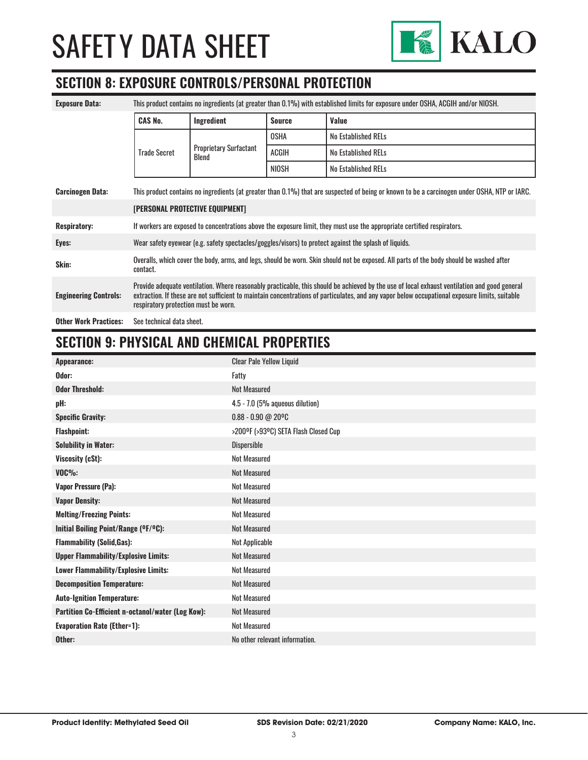

#### **SECTION 8: EXPOSURE CONTROLS/PERSONAL PROTECTION**

| <b>Exposure Data:</b>                                                                                                                                                   | This product contains no ingredients (at greater than 0.1%) with established limits for exposure under OSHA, ACGIH and/or NIOSH.                                                                                                                                                                                                       |                                        |               |                            |
|-------------------------------------------------------------------------------------------------------------------------------------------------------------------------|----------------------------------------------------------------------------------------------------------------------------------------------------------------------------------------------------------------------------------------------------------------------------------------------------------------------------------------|----------------------------------------|---------------|----------------------------|
|                                                                                                                                                                         | <b>CAS No.</b>                                                                                                                                                                                                                                                                                                                         | Ingredient                             | <b>Source</b> | Value                      |
|                                                                                                                                                                         | <b>Trade Secret</b>                                                                                                                                                                                                                                                                                                                    | <b>Proprietary Surfactant</b><br>Blend | <b>OSHA</b>   | No Established RELs        |
|                                                                                                                                                                         |                                                                                                                                                                                                                                                                                                                                        |                                        | ACGIH         | <b>No Established RELs</b> |
|                                                                                                                                                                         |                                                                                                                                                                                                                                                                                                                                        |                                        | NIOSH         | No Established RELs        |
| This product contains no ingredients (at greater than 0.1%) that are suspected of being or known to be a carcinogen under OSHA, NTP or IARC.<br><b>Carcinogen Data:</b> |                                                                                                                                                                                                                                                                                                                                        |                                        |               |                            |
|                                                                                                                                                                         | [PERSONAL PROTECTIVE EQUIPMENT]                                                                                                                                                                                                                                                                                                        |                                        |               |                            |
| <b>Respiratory:</b>                                                                                                                                                     | If workers are exposed to concentrations above the exposure limit, they must use the appropriate certified respirators.                                                                                                                                                                                                                |                                        |               |                            |
| Eyes:                                                                                                                                                                   | Wear safety eyewear (e.g. safety spectacles/goggles/visors) to protect against the splash of liquids.                                                                                                                                                                                                                                  |                                        |               |                            |
| Skin:                                                                                                                                                                   | Overalls, which cover the body, arms, and legs, should be worn. Skin should not be exposed. All parts of the body should be washed after<br>contact.                                                                                                                                                                                   |                                        |               |                            |
| <b>Engineering Controls:</b>                                                                                                                                            | Provide adequate ventilation. Where reasonably practicable, this should be achieved by the use of local exhaust ventilation and good general<br>extraction. If these are not sufficient to maintain concentrations of particulates, and any vapor below occupational exposure limits, suitable<br>respiratory protection must be worn. |                                        |               |                            |
| <b>Other Work Practices:</b>                                                                                                                                            | See technical data sheet.                                                                                                                                                                                                                                                                                                              |                                        |               |                            |

#### **SECTION 9: PHYSICAL AND CHEMICAL PROPERTIES**

| Appearance:                                       | <b>Clear Pale Yellow Liquid</b>      |
|---------------------------------------------------|--------------------------------------|
| Odor:                                             | Fatty                                |
| <b>Odor Threshold:</b>                            | <b>Not Measured</b>                  |
| pH:                                               | 4.5 - 7.0 (5% aqueous dilution)      |
| <b>Specific Gravity:</b>                          | $0.88 - 0.90 @ 20°C$                 |
| <b>Flashpoint:</b>                                | >200°F (>93°C) SETA Flash Closed Cup |
| <b>Solubility in Water:</b>                       | Dispersible                          |
| Viscosity (cSt):                                  | <b>Not Measured</b>                  |
| $VOC\%$ :                                         | <b>Not Measured</b>                  |
| <b>Vapor Pressure (Pa):</b>                       | <b>Not Measured</b>                  |
| <b>Vapor Density:</b>                             | <b>Not Measured</b>                  |
| <b>Melting/Freezing Points:</b>                   | <b>Not Measured</b>                  |
| Initial Boiling Point/Range (°F/°C):              | <b>Not Measured</b>                  |
| <b>Flammability (Solid, Gas):</b>                 | Not Applicable                       |
| <b>Upper Flammability/Explosive Limits:</b>       | <b>Not Measured</b>                  |
| Lower Flammability/Explosive Limits:              | <b>Not Measured</b>                  |
| <b>Decomposition Temperature:</b>                 | <b>Not Measured</b>                  |
| <b>Auto-Ignition Temperature:</b>                 | <b>Not Measured</b>                  |
| Partition Co-Efficient n-octanol/water (Log Kow): | <b>Not Measured</b>                  |
| <b>Evaporation Rate (Ether=1):</b>                | <b>Not Measured</b>                  |
| Other:                                            | No other relevant information.       |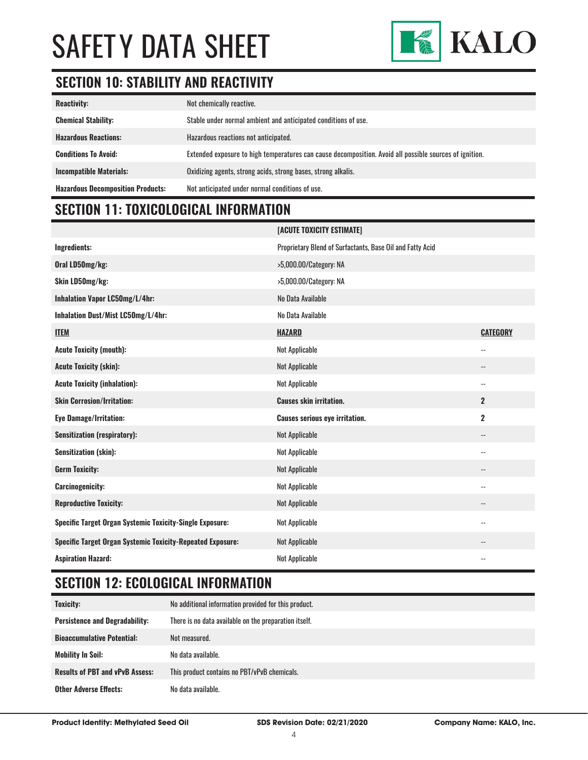

### **SECTION 10: STABILITY AND REACTIVITY**

| <b>Reactivity:</b>                       | Not chemically reactive.                                                                                |
|------------------------------------------|---------------------------------------------------------------------------------------------------------|
| <b>Chemical Stability:</b>               | Stable under normal ambient and anticipated conditions of use.                                          |
| <b>Hazardous Reactions:</b>              | Hazardous reactions not anticipated.                                                                    |
| <b>Conditions To Avoid:</b>              | Extended exposure to high temperatures can cause decomposition. Avoid all possible sources of ignition. |
| <b>Incompatible Materials:</b>           | Oxidizing agents, strong acids, strong bases, strong alkalis.                                           |
| <b>Hazardous Decomposition Products:</b> | Not anticipated under normal conditions of use.                                                         |

### **SECTION 11: TOXICOLOGICAL INFORMATION**

|                                                                   | [ACUTE TOXICITY ESTIMATE]                                 |                            |
|-------------------------------------------------------------------|-----------------------------------------------------------|----------------------------|
| Ingredients:                                                      | Proprietary Blend of Surfactants, Base Oil and Fatty Acid |                            |
| Oral LD50mg/kg:                                                   | >5,000.00/Category: NA                                    |                            |
| Skin LD50mg/kg:                                                   | >5,000.00/Category: NA                                    |                            |
| Inhalation Vapor LC50mg/L/4hr:                                    | No Data Available                                         |                            |
| Inhalation Dust/Mist LC50mg/L/4hr:                                | No Data Available                                         |                            |
| <b>ITEM</b>                                                       | <b>HAZARD</b>                                             | <b>CATEGORY</b>            |
| <b>Acute Toxicity (mouth):</b>                                    | Not Applicable                                            | $\overline{\phantom{a}}$ . |
| <b>Acute Toxicity (skin):</b>                                     | Not Applicable                                            | --                         |
| <b>Acute Toxicity (inhalation):</b>                               | Not Applicable                                            | $\overline{\phantom{a}}$   |
| <b>Skin Corrosion/Irritation:</b>                                 | <b>Causes skin irritation.</b>                            | $\mathbf{2}$               |
| <b>Eye Damage/Irritation:</b>                                     | <b>Causes serious eye irritation.</b>                     | $\overline{2}$             |
| <b>Sensitization (respiratory):</b>                               | Not Applicable                                            | $\overline{\phantom{a}}$   |
| <b>Sensitization (skin):</b>                                      | Not Applicable                                            | $\overline{\phantom{a}}$   |
| <b>Germ Toxicity:</b>                                             | Not Applicable                                            | $\overline{\phantom{a}}$ . |
| <b>Carcinogenicity:</b>                                           | Not Applicable                                            | $\overline{\phantom{a}}$   |
| <b>Reproductive Toxicity:</b>                                     | Not Applicable                                            | $\overline{\phantom{a}}$   |
| <b>Specific Target Organ Systemic Toxicity-Single Exposure:</b>   | Not Applicable                                            | $\overline{\phantom{a}}$   |
| <b>Specific Target Organ Systemic Toxicity-Repeated Exposure:</b> | Not Applicable                                            | --                         |
| <b>Aspiration Hazard:</b>                                         | Not Applicable                                            | $-$                        |

### **SECTION 12: ECOLOGICAL INFORMATION**

| Toxicity:                              | No additional information provided for this product.  |
|----------------------------------------|-------------------------------------------------------|
| <b>Persistence and Degradability:</b>  | There is no data available on the preparation itself. |
| <b>Bioaccumulative Potential:</b>      | Not measured.                                         |
| <b>Mobility In Soil:</b>               | No data available.                                    |
| <b>Results of PBT and vPvB Assess:</b> | This product contains no PBT/vPvB chemicals.          |
| <b>Other Adverse Effects:</b>          | No data available.                                    |